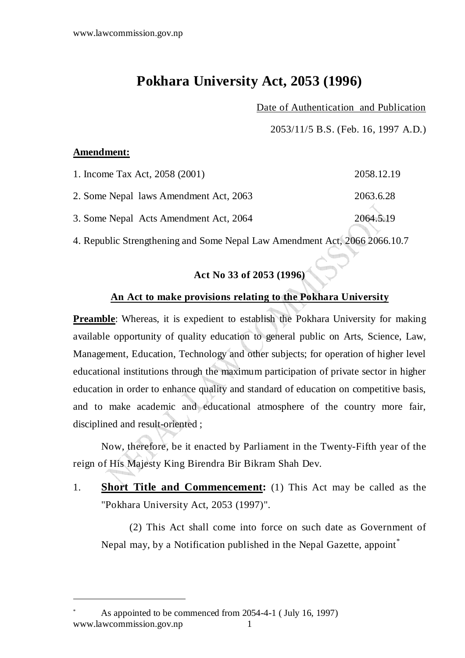## **Pokhara University Act, 2053 (1996)**

### Date of Authentication and Publication

2053/11/5 B.S. (Feb. 16, 1997 A.D.)

#### **Amendment:**

| 1. Income Tax Act, 2058 (2001)         | 2058.12.19 |
|----------------------------------------|------------|
| 2. Some Nepal laws Amendment Act, 2063 | 2063.6.28  |
| 3. Some Nepal Acts Amendment Act, 2064 | 2064.5.19  |

4. Republic Strengthening and Some Nepal Law Amendment Act, 2066 2066.10.7

# **Act No 33 of 2053 (1996)**

### **An Act to make provisions relating to the Pokhara University**

**Preamble**: Whereas, it is expedient to establish the Pokhara University for making available opportunity of quality education to general public on Arts, Science, Law, Management, Education, Technology and other subjects; for operation of higher level educational institutions through the maximum participation of private sector in higher education in order to enhance quality and standard of education on competitive basis, and to make academic and educational atmosphere of the country more fair, disciplined and result-oriented ;

Now, therefore, be it enacted by Parliament in the Twenty-Fifth year of the reign of His Majesty King Birendra Bir Bikram Shah Dev.

1. **Short Title and Commencement:** (1) This Act may be called as the "Pokhara University Act, 2053 (1997)".

 (2) This Act shall come into force on such date as Government of Nepal may, by a Notification published in the Nepal Gazette, appoint\*

www.lawcommission.gov.np 1 \* As appointed to be commenced from 2054-4-1 ( July 16, 1997)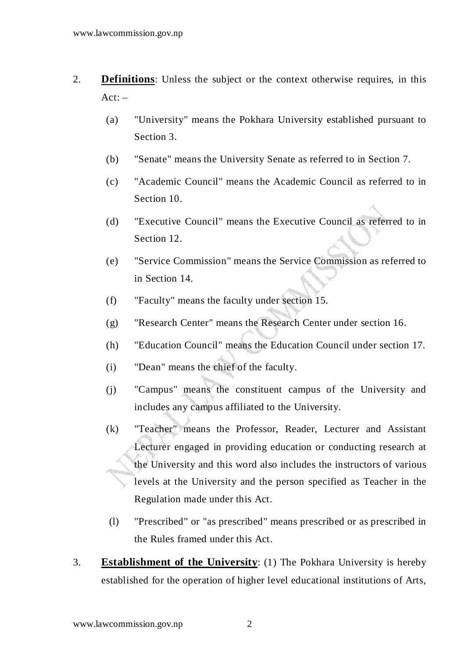- 2. **Definitions**: Unless the subject or the context otherwise requires, in this  $Act: -$ 
	- (a) "University" means the Pokhara University established pursuant to Section 3.
	- (b) "Senate" means the University Senate as referred to in Section 7.
	- (c) "Academic Council" means the Academic Council as referred to in Section 10.
	- (d) "Executive Council" means the Executive Council as referred to in Section 12.
	- (e) "Service Commission" means the Service Commission as referred to in Section 14.
	- (f) "Faculty" means the faculty under section 15.
	- (g) "Research Center" means the Research Center under section 16.
	- (h) "Education Council" means the Education Council under section 17.
	- (i) "Dean" means the chief of the faculty.
	- (j) "Campus" means the constituent campus of the University and includes any campus affiliated to the University.
	- (k) "Teacher" means the Professor, Reader, Lecturer and Assistant Lecturer engaged in providing education or conducting research at the University and this word also includes the instructors of various levels at the University and the person specified as Teacher in the Regulation made under this Act.
	- (l) "Prescribed" or "as prescribed" means prescribed or as prescribed in the Rules framed under this Act.
- 3. **Establishment of the University**: (1) The Pokhara University is hereby established for the operation of higher level educational institutions of Arts,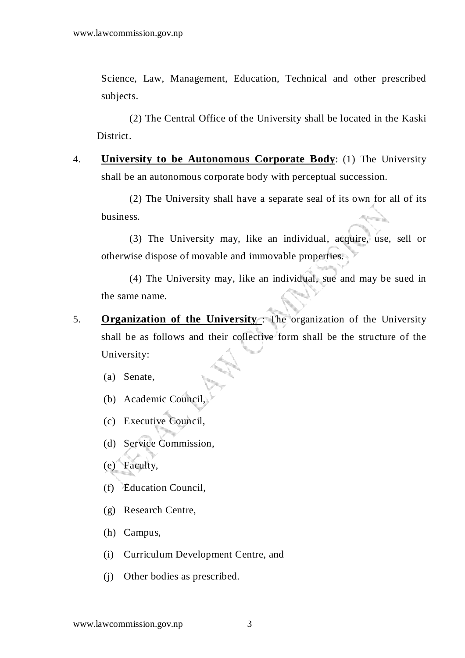Science, Law, Management, Education, Technical and other prescribed subjects.

 (2) The Central Office of the University shall be located in the Kaski District.

4. **University to be Autonomous Corporate Body**: (1) The University shall be an autonomous corporate body with perceptual succession.

 (2) The University shall have a separate seal of its own for all of its business.

 (3) The University may, like an individual, acquire, use, sell or otherwise dispose of movable and immovable properties.

 (4) The University may, like an individual, sue and may be sued in the same name.

5. **Organization of the University** : The organization of the University shall be as follows and their collective form shall be the structure of the University:

(a) Senate,

- (b) Academic Council,
- (c) Executive Council,
- (d) Service Commission,
- (e) Faculty,
- (f) Education Council,
- (g) Research Centre,
- (h) Campus,
- (i) Curriculum Development Centre, and
- (j) Other bodies as prescribed.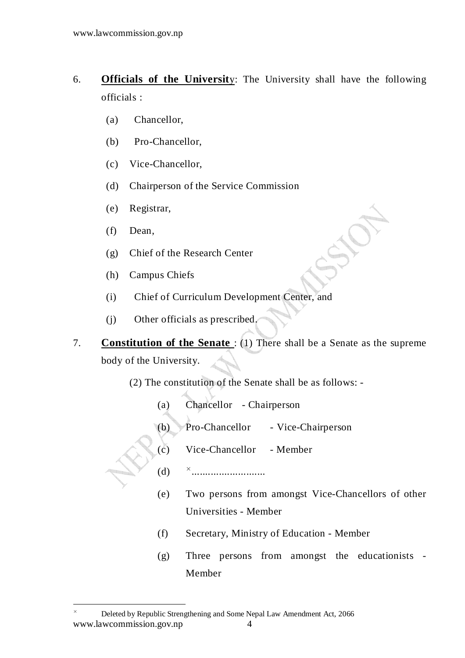- 6. **Officials of the Universit**y: The University shall have the following officials :
	- (a) Chancellor,
	- (b) Pro-Chancellor,
	- (c) Vice-Chancellor,
	- (d) Chairperson of the Service Commission
	- (e) Registrar,
	- (f) Dean,

- (g) Chief of the Research Center
- (h) Campus Chiefs
- (i) Chief of Curriculum Development Center, and
- (j) Other officials as prescribed.
- 7. **Constitution of the Senate** : (1) There shall be a Senate as the supreme body of the University.
	- (2) The constitution of the Senate shall be as follows:
		- (a) Chancellor Chairperson
		- (b) Pro-Chancellor Vice-Chairperson
		- (c) Vice-Chancellor Member
		- (d) ...........................
		- (e) Two persons from amongst Vice-Chancellors of other Universities - Member
		- (f) Secretary, Ministry of Education Member
		- (g) Three persons from amongst the educationists Member

www.lawcommission.gov.np 4 Deleted by Republic Strengthening and Some Nepal Law Amendment Act, 2066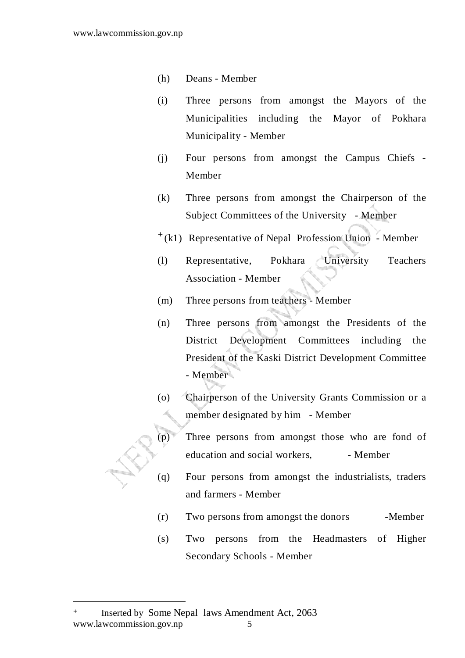- (h) Deans Member
- (i) Three persons from amongst the Mayors of the Municipalities including the Mayor of Pokhara Municipality - Member
- (j) Four persons from amongst the Campus Chiefs Member
- (k) Three persons from amongst the Chairperson of the Subject Committees of the University - Member
- + (k1) Representative of Nepal Profession Union Member
- (l) Representative, Pokhara University Teachers Association - Member
- (m) Three persons from teachers Member
- (n) Three persons from amongst the Presidents of the District Development Committees including the President of the Kaski District Development Committee - Member
- (o) Chairperson of the University Grants Commission or a member designated by him - Member
- (p) Three persons from amongst those who are fond of education and social workers, - Member
- (q) Four persons from amongst the industrialists, traders and farmers - Member
	- (r) Two persons from amongst the donors -Member
	- (s) Two persons from the Headmasters of Higher Secondary Schools - Member

www.lawcommission.gov.np 5 + Inserted by Some Nepal laws Amendment Act, 2063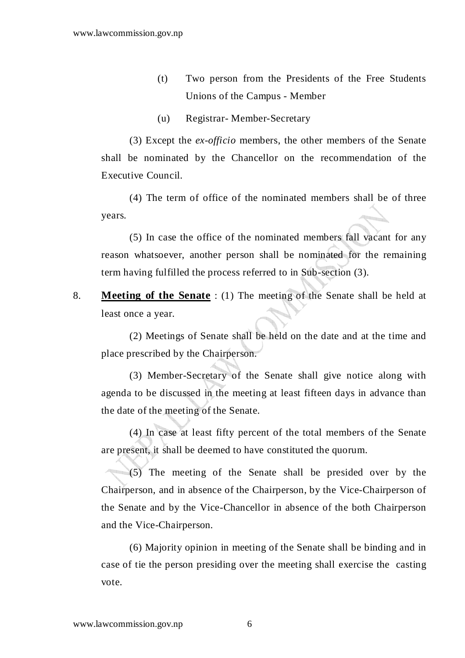- (t) Two person from the Presidents of the Free Students Unions of the Campus - Member
- (u) Registrar- Member-Secretary

 (3) Except the *ex-officio* members, the other members of the Senate shall be nominated by the Chancellor on the recommendation of the Executive Council.

 (4) The term of office of the nominated members shall be of three years.

 (5) In case the office of the nominated members fall vacant for any reason whatsoever, another person shall be nominated for the remaining term having fulfilled the process referred to in Sub-section (3).

8. **Meeting of the Senate** : (1) The meeting of the Senate shall be held at least once a year.

 (2) Meetings of Senate shall be held on the date and at the time and place prescribed by the Chairperson.

 (3) Member-Secretary of the Senate shall give notice along with agenda to be discussed in the meeting at least fifteen days in advance than the date of the meeting of the Senate.

 (4) In case at least fifty percent of the total members of the Senate are present, it shall be deemed to have constituted the quorum.

 (5) The meeting of the Senate shall be presided over by the Chairperson, and in absence of the Chairperson, by the Vice-Chairperson of the Senate and by the Vice-Chancellor in absence of the both Chairperson and the Vice-Chairperson.

 (6) Majority opinion in meeting of the Senate shall be binding and in case of tie the person presiding over the meeting shall exercise the casting vote.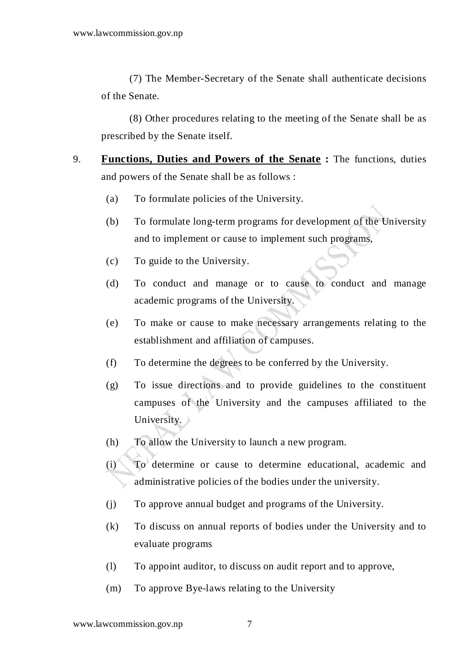(7) The Member-Secretary of the Senate shall authenticate decisions of the Senate.

 (8) Other procedures relating to the meeting of the Senate shall be as prescribed by the Senate itself.

- 9. **Functions, Duties and Powers of the Senate :** The functions, duties and powers of the Senate shall be as follows :
	- (a) To formulate policies of the University.
	- (b) To formulate long-term programs for development of the University and to implement or cause to implement such programs,
	- (c) To guide to the University.
	- (d) To conduct and manage or to cause to conduct and manage academic programs of the University.
	- (e) To make or cause to make necessary arrangements relating to the establishment and affiliation of campuses.
	- (f) To determine the degrees to be conferred by the University.
	- (g) To issue directions and to provide guidelines to the constituent campuses of the University and the campuses affiliated to the University.
	- (h) To allow the University to launch a new program.
	- (i) To determine or cause to determine educational, academic and administrative policies of the bodies under the university.
	- (j) To approve annual budget and programs of the University.
	- (k) To discuss on annual reports of bodies under the University and to evaluate programs
	- (l) To appoint auditor, to discuss on audit report and to approve,
	- (m) To approve Bye-laws relating to the University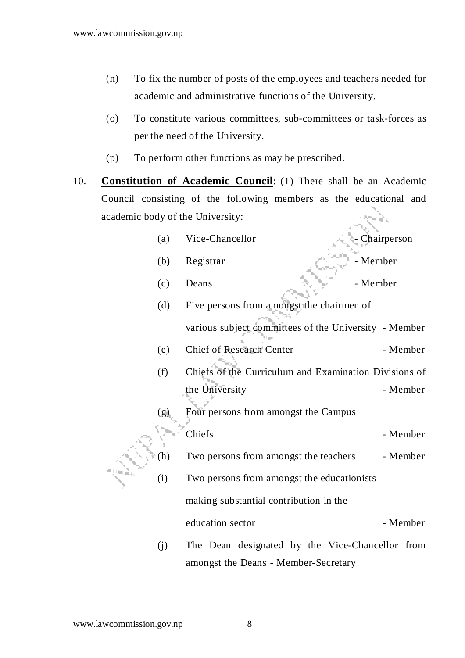- (n) To fix the number of posts of the employees and teachers needed for academic and administrative functions of the University.
- (o) To constitute various committees, sub-committees or task-forces as per the need of the University.
- (p) To perform other functions as may be prescribed.
- 10. **Constitution of Academic Council**: (1) There shall be an Academic Council consisting of the following members as the educational and academic body of the University:

|  | (a)                                    | Vice-Chancellor                                       | - Chairperson |  |
|--|----------------------------------------|-------------------------------------------------------|---------------|--|
|  | (b)                                    | Registrar                                             | - Member      |  |
|  | (c)                                    | Deans                                                 | - Member      |  |
|  | (d)                                    | Five persons from amongst the chairmen of             |               |  |
|  |                                        | various subject committees of the University - Member |               |  |
|  | (e)                                    | <b>Chief of Research Center</b>                       | - Member      |  |
|  | (f)                                    | Chiefs of the Curriculum and Examination Divisions of |               |  |
|  |                                        | the University                                        | - Member      |  |
|  | (g)                                    | Four persons from amongst the Campus                  |               |  |
|  |                                        | Chiefs                                                | - Member      |  |
|  | (h)                                    | Two persons from amongst the teachers                 | - Member      |  |
|  | (i)                                    | Two persons from amongst the educationists            |               |  |
|  | making substantial contribution in the |                                                       |               |  |
|  |                                        | education sector                                      | - Member      |  |
|  | (j)                                    | The Dean designated by the Vice-Chancellor from       |               |  |

amongst the Deans - Member-Secretary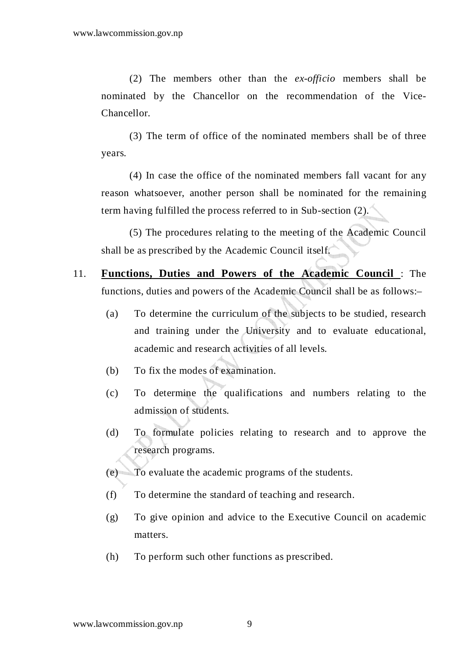(2) The members other than the *ex-officio* members shall be nominated by the Chancellor on the recommendation of the Vice-Chancellor.

 (3) The term of office of the nominated members shall be of three years.

 (4) In case the office of the nominated members fall vacant for any reason whatsoever, another person shall be nominated for the remaining term having fulfilled the process referred to in Sub-section (2).

 (5) The procedures relating to the meeting of the Academic Council shall be as prescribed by the Academic Council itself.

- 11. **Functions, Duties and Powers of the Academic Council** : The functions, duties and powers of the Academic Council shall be as follows:–
	- (a) To determine the curriculum of the subjects to be studied, research and training under the University and to evaluate educational, academic and research activities of all levels.
	- (b) To fix the modes of examination.
	- (c) To determine the qualifications and numbers relating to the admission of students.
	- (d) To formulate policies relating to research and to approve the research programs.
	- (e) To evaluate the academic programs of the students.
	- (f) To determine the standard of teaching and research.
	- (g) To give opinion and advice to the Executive Council on academic matters.
	- (h) To perform such other functions as prescribed.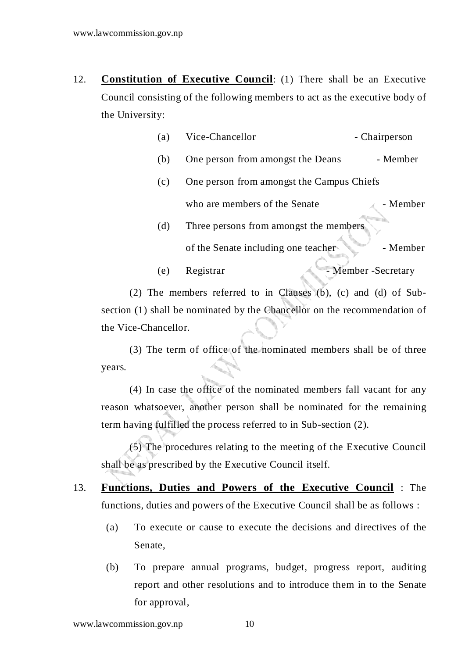- 12. **Constitution of Executive Council**: (1) There shall be an Executive Council consisting of the following members to act as the executive body of the University:
	- (a) Vice-Chancellor Chairperson
	- (b) One person from amongst the Deans Member
	- (c) One person from amongst the Campus Chiefs who are members of the Senate  $\blacksquare$  - Member
	- (d) Three persons from amongst the members of the Senate including one teacher - Member
	- (e) Registrar Member Secretary

(2) The members referred to in Clauses  $(b)$ ,  $(c)$  and  $(d)$  of Subsection (1) shall be nominated by the Chancellor on the recommendation of the Vice-Chancellor.

 (3) The term of office of the nominated members shall be of three years.

 (4) In case the office of the nominated members fall vacant for any reason whatsoever, another person shall be nominated for the remaining term having fulfilled the process referred to in Sub-section (2).

 (5) The procedures relating to the meeting of the Executive Council shall be as prescribed by the Executive Council itself.

- 13. **Functions, Duties and Powers of the Executive Council** : The functions, duties and powers of the Executive Council shall be as follows :
	- (a) To execute or cause to execute the decisions and directives of the Senate,
	- (b) To prepare annual programs, budget, progress report, auditing report and other resolutions and to introduce them in to the Senate for approval,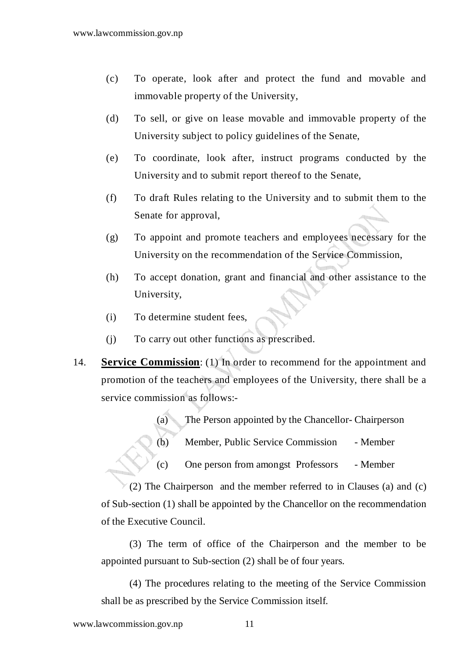- (c) To operate, look after and protect the fund and movable and immovable property of the University,
- (d) To sell, or give on lease movable and immovable property of the University subject to policy guidelines of the Senate,
- (e) To coordinate, look after, instruct programs conducted by the University and to submit report thereof to the Senate,
- (f) To draft Rules relating to the University and to submit them to the Senate for approval,
- (g) To appoint and promote teachers and employees necessary for the University on the recommendation of the Service Commission,
- (h) To accept donation, grant and financial and other assistance to the University,
- (i) To determine student fees,
- (j) To carry out other functions as prescribed.
- 14. **Service Commission**: (1) In order to recommend for the appointment and promotion of the teachers and employees of the University, there shall be a service commission as follows:-
	- (a) The Person appointed by the Chancellor- Chairperson
	- (b) Member, Public Service Commission Member
	- (c) One person from amongst Professors Member

 (2) The Chairperson and the member referred to in Clauses (a) and (c) of Sub-section (1) shall be appointed by the Chancellor on the recommendation of the Executive Council.

 (3) The term of office of the Chairperson and the member to be appointed pursuant to Sub-section (2) shall be of four years.

 (4) The procedures relating to the meeting of the Service Commission shall be as prescribed by the Service Commission itself.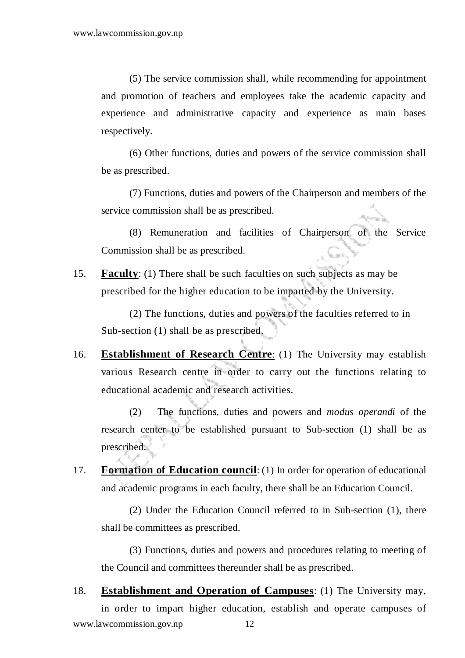(5) The service commission shall, while recommending for appointment and promotion of teachers and employees take the academic capacity and experience and administrative capacity and experience as main bases respectively.

 (6) Other functions, duties and powers of the service commission shall be as prescribed.

 (7) Functions, duties and powers of the Chairperson and members of the service commission shall be as prescribed.

 (8) Remuneration and facilities of Chairperson of the Service Commission shall be as prescribed.

15. **Faculty**: (1) There shall be such faculties on such subjects as may be prescribed for the higher education to be imparted by the University.

 (2) The functions, duties and powers of the faculties referred to in Sub-section (1) shall be as prescribed.

16. **Establishment of Research Centre**: (1) The University may establish various Research centre in order to carry out the functions relating to educational academic and research activities.

 (2) The functions, duties and powers and *modus operandi* of the research center to be established pursuant to Sub-section (1) shall be as prescribed.

17. **Formation of Education council**: (1) In order for operation of educational and academic programs in each faculty, there shall be an Education Council.

 (2) Under the Education Council referred to in Sub-section (1), there shall be committees as prescribed.

 (3) Functions, duties and powers and procedures relating to meeting of the Council and committees thereunder shall be as prescribed.

www.lawcommission.gov.np 12 18. **Establishment and Operation of Campuses**: (1) The University may, in order to impart higher education, establish and operate campuses of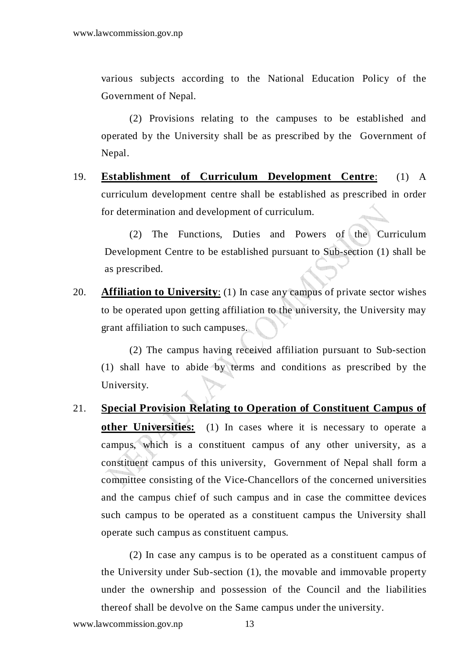various subjects according to the National Education Policy of the Government of Nepal.

 (2) Provisions relating to the campuses to be established and operated by the University shall be as prescribed by the Government of Nepal.

19. **Establishment of Curriculum Development Centre**: (1) A curriculum development centre shall be established as prescribed in order for determination and development of curriculum.

 (2) The Functions, Duties and Powers of the Curriculum Development Centre to be established pursuant to Sub-section (1) shall be as prescribed.

20. **Affiliation to University**: (1) In case any campus of private sector wishes to be operated upon getting affiliation to the university, the University may grant affiliation to such campuses.

 (2) The campus having received affiliation pursuant to Sub-section (1) shall have to abide by terms and conditions as prescribed by the University.

21. **Special Provision Relating to Operation of Constituent Campus of other Universities:** (1) In cases where it is necessary to operate a campus, which is a constituent campus of any other university, as a constituent campus of this university, Government of Nepal shall form a committee consisting of the Vice-Chancellors of the concerned universities and the campus chief of such campus and in case the committee devices such campus to be operated as a constituent campus the University shall operate such campus as constituent campus.

 (2) In case any campus is to be operated as a constituent campus of the University under Sub-section (1), the movable and immovable property under the ownership and possession of the Council and the liabilities thereof shall be devolve on the Same campus under the university.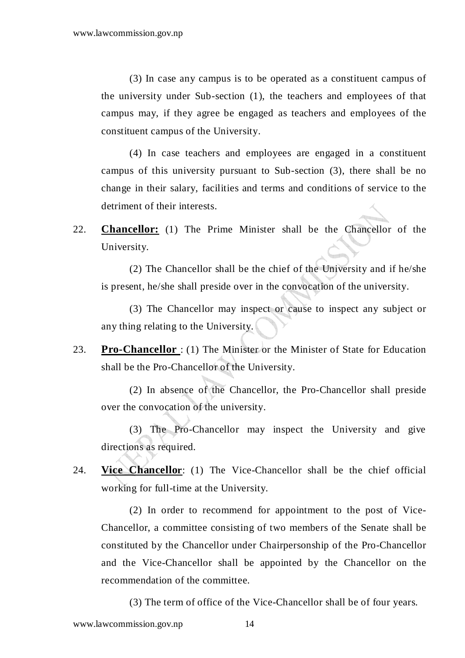(3) In case any campus is to be operated as a constituent campus of the university under Sub-section (1), the teachers and employees of that campus may, if they agree be engaged as teachers and employees of the constituent campus of the University.

 (4) In case teachers and employees are engaged in a constituent campus of this university pursuant to Sub-section (3), there shall be no change in their salary, facilities and terms and conditions of service to the detriment of their interests.

22. **Chancellor:** (1) The Prime Minister shall be the Chancellor of the University.

 (2) The Chancellor shall be the chief of the University and if he/she is present, he/she shall preside over in the convocation of the university.

 (3) The Chancellor may inspect or cause to inspect any subject or any thing relating to the University.

23. **Pro-Chancellor** : (1) The Minister or the Minister of State for Education shall be the Pro-Chancellor of the University.

 (2) In absence of the Chancellor, the Pro-Chancellor shall preside over the convocation of the university.

 (3) The Pro-Chancellor may inspect the University and give directions as required.

24. **Vice Chancellor**: (1) The Vice-Chancellor shall be the chief official working for full-time at the University.

 (2) In order to recommend for appointment to the post of Vice-Chancellor, a committee consisting of two members of the Senate shall be constituted by the Chancellor under Chairpersonship of the Pro-Chancellor and the Vice-Chancellor shall be appointed by the Chancellor on the recommendation of the committee.

(3) The term of office of the Vice-Chancellor shall be of four years.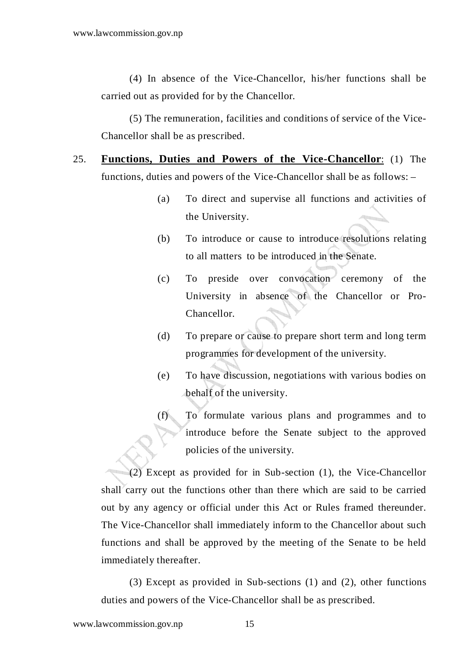(4) In absence of the Vice-Chancellor, his/her functions shall be carried out as provided for by the Chancellor.

 (5) The remuneration, facilities and conditions of service of the Vice-Chancellor shall be as prescribed.

- 25. **Functions, Duties and Powers of the Vice-Chancellor**: (1) The functions, duties and powers of the Vice-Chancellor shall be as follows: –
	- (a) To direct and supervise all functions and activities of the University.
	- (b) To introduce or cause to introduce resolutions relating to all matters to be introduced in the Senate.
	- (c) To preside over convocation ceremony of the University in absence of the Chancellor or Pro-Chancellor.
	- (d) To prepare or cause to prepare short term and long term programmes for development of the university.
	- (e) To have discussion, negotiations with various bodies on behalf of the university.
	- (f) To formulate various plans and programmes and to introduce before the Senate subject to the approved policies of the university.

 (2) Except as provided for in Sub-section (1), the Vice-Chancellor shall carry out the functions other than there which are said to be carried out by any agency or official under this Act or Rules framed thereunder. The Vice-Chancellor shall immediately inform to the Chancellor about such functions and shall be approved by the meeting of the Senate to be held immediately thereafter.

 (3) Except as provided in Sub-sections (1) and (2), other functions duties and powers of the Vice-Chancellor shall be as prescribed.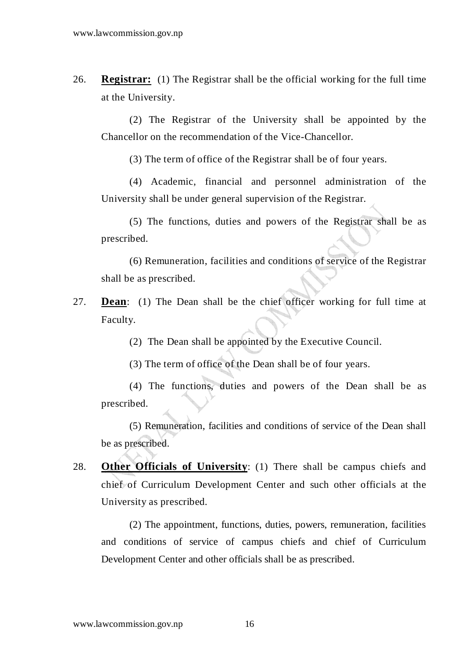26. **Registrar:** (1) The Registrar shall be the official working for the full time at the University.

 (2) The Registrar of the University shall be appointed by the Chancellor on the recommendation of the Vice-Chancellor.

(3) The term of office of the Registrar shall be of four years.

 (4) Academic, financial and personnel administration of the University shall be under general supervision of the Registrar.

 (5) The functions, duties and powers of the Registrar shall be as prescribed.

 (6) Remuneration, facilities and conditions of service of the Registrar shall be as prescribed.

27. **Dean**: (1) The Dean shall be the chief officer working for full time at Faculty.

(2) The Dean shall be appointed by the Executive Council.

(3) The term of office of the Dean shall be of four years.

 (4) The functions, duties and powers of the Dean shall be as prescribed.

 (5) Remuneration, facilities and conditions of service of the Dean shall be as prescribed.

28. **Other Officials of University**: (1) There shall be campus chiefs and chief of Curriculum Development Center and such other officials at the University as prescribed.

 (2) The appointment, functions, duties, powers, remuneration, facilities and conditions of service of campus chiefs and chief of Curriculum Development Center and other officials shall be as prescribed.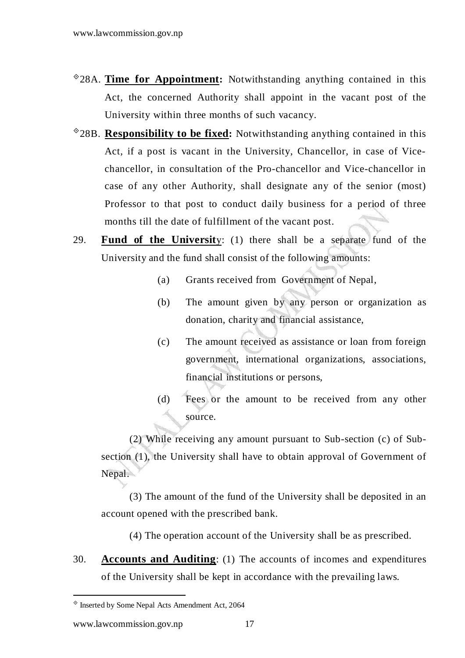- -28A. **Time for Appointment:** Notwithstanding anything contained in this Act, the concerned Authority shall appoint in the vacant post of the University within three months of such vacancy.
- -28B. **Responsibility to be fixed:** Notwithstanding anything contained in this Act, if a post is vacant in the University, Chancellor, in case of Vicechancellor, in consultation of the Pro-chancellor and Vice-chancellor in case of any other Authority, shall designate any of the senior (most) Professor to that post to conduct daily business for a period of three months till the date of fulfillment of the vacant post.
- 29. **Fund of the Universit**y: (1) there shall be a separate fund of the University and the fund shall consist of the following amounts:
	- (a) Grants received from Government of Nepal,
	- (b) The amount given by any person or organization as donation, charity and financial assistance,
	- (c) The amount received as assistance or loan from foreign government, international organizations, associations, financial institutions or persons,
	- (d) Fees or the amount to be received from any other source.

 (2) While receiving any amount pursuant to Sub-section (c) of Subsection (1), the University shall have to obtain approval of Government of Nepal.

 (3) The amount of the fund of the University shall be deposited in an account opened with the prescribed bank.

(4) The operation account of the University shall be as prescribed.

30. **Accounts and Auditing**: (1) The accounts of incomes and expenditures of the University shall be kept in accordance with the prevailing laws.

<sup>-</sup> Inserted by Some Nepal Acts Amendment Act, 2064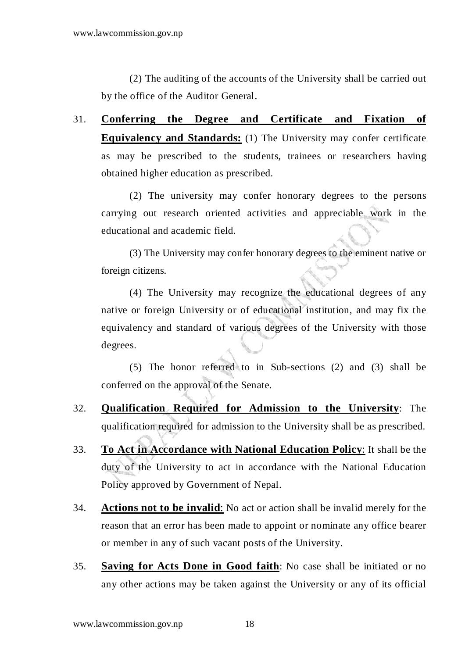(2) The auditing of the accounts of the University shall be carried out by the office of the Auditor General.

31. **Conferring the Degree and Certificate and Fixation of Equivalency and Standards:** (1) The University may confer certificate as may be prescribed to the students, trainees or researchers having obtained higher education as prescribed.

 (2) The university may confer honorary degrees to the persons carrying out research oriented activities and appreciable work in the educational and academic field.

 (3) The University may confer honorary degrees to the eminent native or foreign citizens.

 (4) The University may recognize the educational degrees of any native or foreign University or of educational institution, and may fix the equivalency and standard of various degrees of the University with those degrees.

 (5) The honor referred to in Sub-sections (2) and (3) shall be conferred on the approval of the Senate.

- 32. **Qualification Required for Admission to the University**: The qualification required for admission to the University shall be as prescribed.
- 33. **To Act in Accordance with National Education Policy**: It shall be the duty of the University to act in accordance with the National Education Policy approved by Government of Nepal.
- 34. **Actions not to be invalid**: No act or action shall be invalid merely for the reason that an error has been made to appoint or nominate any office bearer or member in any of such vacant posts of the University.
- 35. **Saving for Acts Done in Good faith**: No case shall be initiated or no any other actions may be taken against the University or any of its official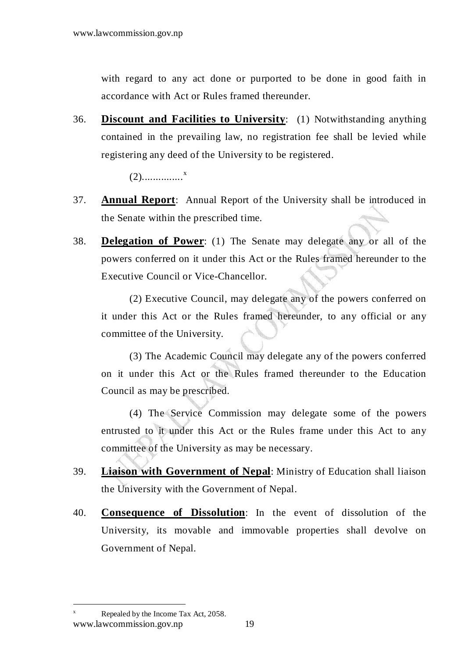with regard to any act done or purported to be done in good faith in accordance with Act or Rules framed thereunder.

36. **Discount and Facilities to University**: (1) Notwithstanding anything contained in the prevailing law, no registration fee shall be levied while registering any deed of the University to be registered.

(2)...............<sup>x</sup>

- 37. **Annual Report**: Annual Report of the University shall be introduced in the Senate within the prescribed time.
- 38. **Delegation of Power**: (1) The Senate may delegate any or all of the powers conferred on it under this Act or the Rules framed hereunder to the Executive Council or Vice-Chancellor.

 (2) Executive Council, may delegate any of the powers conferred on it under this Act or the Rules framed hereunder, to any official or any committee of the University.

 (3) The Academic Council may delegate any of the powers conferred on it under this Act or the Rules framed thereunder to the Education Council as may be prescribed.

 (4) The Service Commission may delegate some of the powers entrusted to it under this Act or the Rules frame under this Act to any committee of the University as may be necessary.

- 39. **Liaison with Government of Nepal**: Ministry of Education shall liaison the University with the Government of Nepal.
- 40. **Consequence of Dissolution**: In the event of dissolution of the University, its movable and immovable properties shall devolve on Government of Nepal.

www.lawcommission.gov.np 19 x Repealed by the Income Tax Act, 2058.